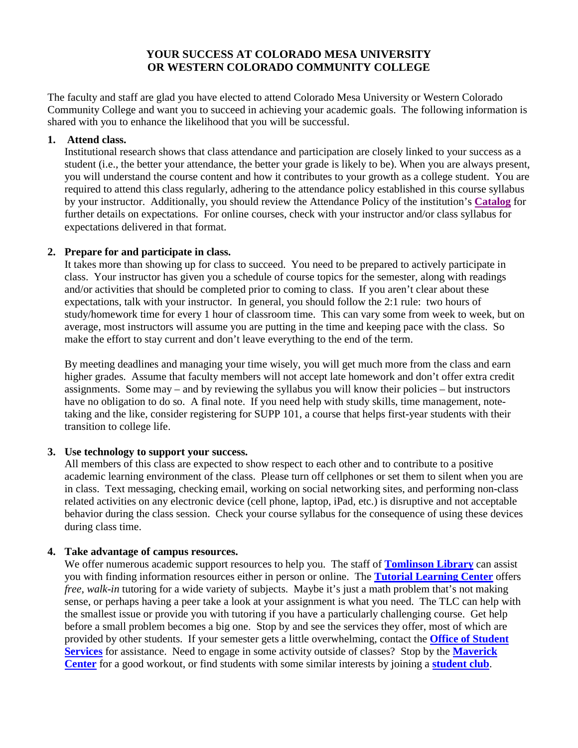# **YOUR SUCCESS AT COLORADO MESA UNIVERSITY OR WESTERN COLORADO COMMUNITY COLLEGE**

The faculty and staff are glad you have elected to attend Colorado Mesa University or Western Colorado Community College and want you to succeed in achieving your academic goals. The following information is shared with you to enhance the likelihood that you will be successful.

#### **1. Attend class.**

Institutional research shows that class attendance and participation are closely linked to your success as a student (i.e., the better your attendance, the better your grade is likely to be). When you are always present, you will understand the course content and how it contributes to your growth as a college student. You are required to attend this class regularly, adhering to the attendance policy established in this course syllabus by your instructor. Additionally, you should review the Attendance Policy of the institution's **[Catalog](http://www.coloradomesa.edu/catalog)** for further details on expectations. For online courses, check with your instructor and/or class syllabus for expectations delivered in that format.

### **2. Prepare for and participate in class.**

It takes more than showing up for class to succeed. You need to be prepared to actively participate in class. Your instructor has given you a schedule of course topics for the semester, along with readings and/or activities that should be completed prior to coming to class. If you aren't clear about these expectations, talk with your instructor. In general, you should follow the 2:1 rule: two hours of study/homework time for every 1 hour of classroom time. This can vary some from week to week, but on average, most instructors will assume you are putting in the time and keeping pace with the class. So make the effort to stay current and don't leave everything to the end of the term.

By meeting deadlines and managing your time wisely, you will get much more from the class and earn higher grades. Assume that faculty members will not accept late homework and don't offer extra credit assignments. Some may – and by reviewing the syllabus you will know their policies – but instructors have no obligation to do so. A final note. If you need help with study skills, time management, notetaking and the like, consider registering for SUPP 101, a course that helps first-year students with their transition to college life.

### **3. Use technology to support your success.**

All members of this class are expected to show respect to each other and to contribute to a positive academic learning environment of the class. Please turn off cellphones or set them to silent when you are in class. Text messaging, checking email, working on social networking sites, and performing non-class related activities on any electronic device (cell phone, laptop, iPad, etc.) is disruptive and not acceptable behavior during the class session. Check your course syllabus for the consequence of using these devices during class time.

### **4. Take advantage of campus resources.**

We offer numerous academic support resources to help you. The staff of **[Tomlinson Library](http://www.coloradomesa.edu/cmulibrary/index.html)** can assist you with finding information resources either in person or online. The **[Tutorial Learning Center](http://www.coloradomesa.edu/tutoring/index.html)** offers *free, walk-in* tutoring for a wide variety of subjects. Maybe it's just a math problem that's not making sense, or perhaps having a peer take a look at your assignment is what you need. The TLC can help with the smallest issue or provide you with tutoring if you have a particularly challenging course. Get help before a small problem becomes a big one. Stop by and see the services they offer, most of which are provided by other students. If your semester gets a little overwhelming, contact the **[Office of Student](http://www.coloradomesa.edu/studentservices/index.html)  [Services](http://www.coloradomesa.edu/studentservices/index.html)** for assistance. Need to engage in some activity outside of classes? Stop by the **[Maverick](http://www.coloradomesa.edu/reccenter/index.html) [Center](http://www.coloradomesa.edu/reccenter/index.html)** for a good workout, or find students with some similar interests by joining a **[student club](http://www.coloradomesa.edu/studentlife/orgs.html)**.